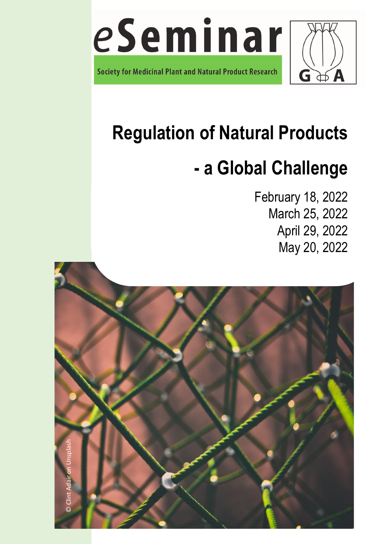

# **Regulation of Natural Products**

# **- a Global Challenge**

February 18, 2022 March 25, 2022 April 29, 2022 May 20, 2022

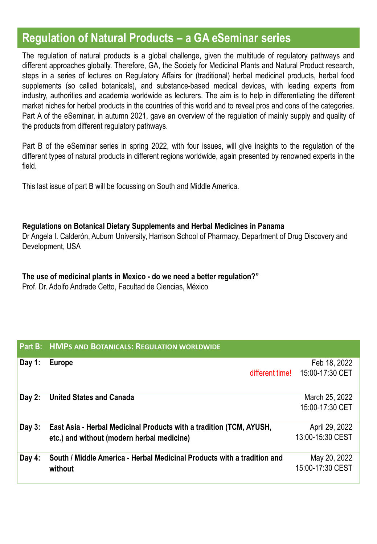#### **Regulation of Natural Products – a GA eSeminar series**

The regulation of natural products is a global challenge, given the multitude of regulatory pathways and different approaches globally. Therefore, GA, the Society for Medicinal Plants and Natural Product research, steps in a series of lectures on Regulatory Affairs for (traditional) herbal medicinal products, herbal food supplements (so called botanicals), and substance-based medical devices, with leading experts from industry, authorities and academia worldwide as lecturers. The aim is to help in differentiating the different market niches for herbal products in the countries of this world and to reveal pros and cons of the categories. Part A of the eSeminar, in autumn 2021, gave an overview of the regulation of mainly supply and quality of the products from different regulatory pathways.

Part B of the eSeminar series in spring 2022, with four issues, will give insights to the regulation of the different types of natural products in different regions worldwide, again presented by renowned experts in the field.

This last issue of part B will be focussing on South and Middle America.

#### **Regulations on Botanical Dietary Supplements and Herbal Medicines in Panama**

Dr Angela I. Calderón, Auburn University, Harrison School of Pharmacy, Department of Drug Discovery and Development, USA

**The use of medicinal plants in Mexico - do we need a better regulation?"**

Prof. Dr. Adolfo Andrade Cetto, Facultad de Ciencias, México

|          | <b>Part B: HMPS AND BOTANICALS: REGULATION WORLDWIDE</b>                |                  |
|----------|-------------------------------------------------------------------------|------------------|
| Day 1:   | Europe                                                                  | Feb 18, 2022     |
|          | different time!                                                         | 15:00-17:30 CET  |
| Day $2:$ | <b>United States and Canada</b>                                         | March 25, 2022   |
|          |                                                                         | 15:00-17:30 CET  |
| Day $3:$ | East Asia - Herbal Medicinal Products with a tradition (TCM, AYUSH,     | April 29, 2022   |
|          | etc.) and without (modern herbal medicine)                              | 13:00-15:30 CEST |
| Day $4:$ | South / Middle America - Herbal Medicinal Products with a tradition and | May 20, 2022     |
|          | without                                                                 | 15:00-17:30 CEST |